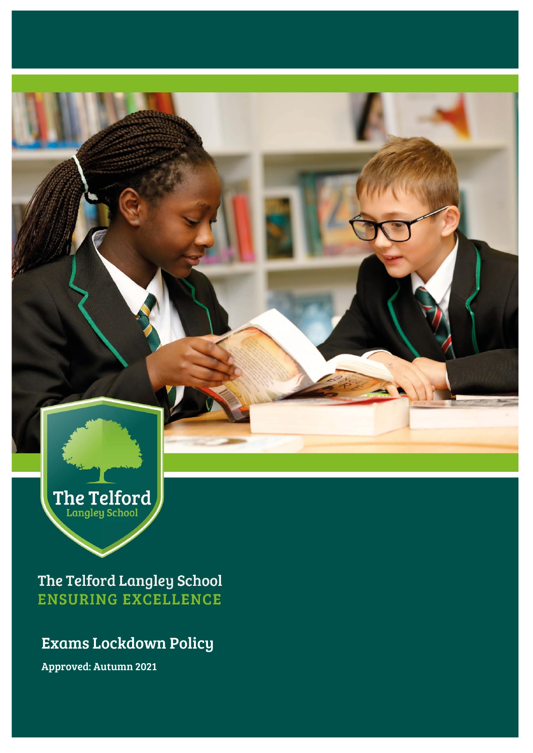The Telford

The Telford Langley School **ENSURING EXCELLENCE** 

## Exams Lockdown Policy

Approved: Autumn 2021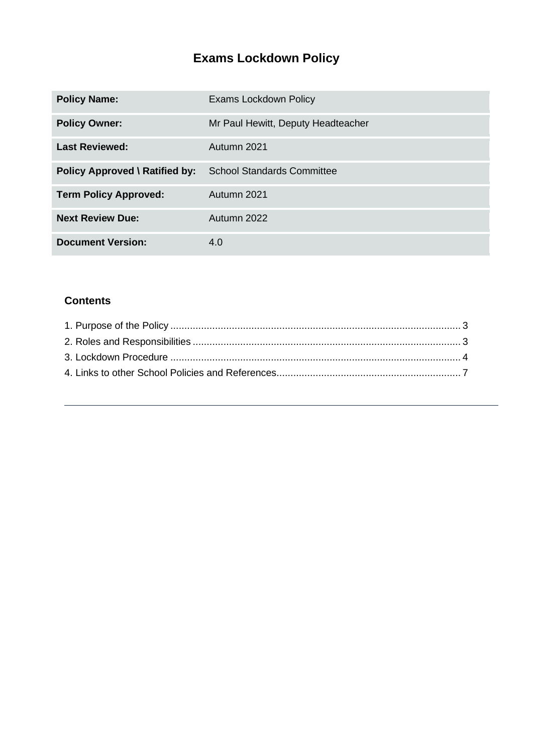# **Exams Lockdown Policy**

| <b>Policy Name:</b>                   | <b>Exams Lockdown Policy</b>       |
|---------------------------------------|------------------------------------|
| <b>Policy Owner:</b>                  | Mr Paul Hewitt, Deputy Headteacher |
| <b>Last Reviewed:</b>                 | Autumn 2021                        |
| <b>Policy Approved \ Ratified by:</b> | <b>School Standards Committee</b>  |
| <b>Term Policy Approved:</b>          | Autumn 2021                        |
| <b>Next Review Due:</b>               | Autumn 2022                        |
| <b>Document Version:</b>              | 4.0                                |

### **Contents**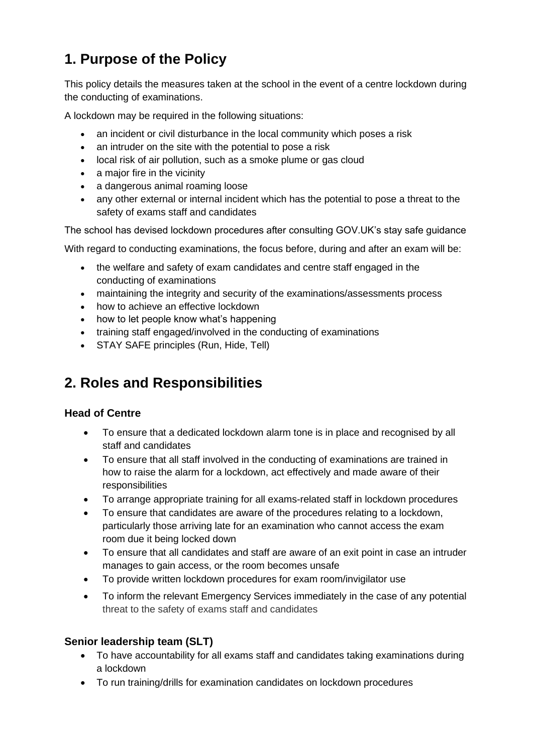# <span id="page-2-0"></span>**1. Purpose of the Policy**

This policy details the measures taken at the school in the event of a centre lockdown during the conducting of examinations.

A lockdown may be required in the following situations:

- an incident or civil disturbance in the local community which poses a risk
- an intruder on the site with the potential to pose a risk
- local risk of air pollution, such as a smoke plume or gas cloud
- a major fire in the vicinity
- a dangerous animal roaming loose
- any other external or internal incident which has the potential to pose a threat to the safety of exams staff and candidates

The school has devised lockdown procedures after consulting GOV.UK's stay safe guidance

With regard to conducting examinations, the focus before, during and after an exam will be:

- the welfare and safety of exam candidates and centre staff engaged in the conducting of examinations
- maintaining the integrity and security of the examinations/assessments process
- how to achieve an effective lockdown
- how to let people know what's happening
- training staff engaged/involved in the conducting of examinations
- STAY SAFE principles (Run, Hide, Tell)

## <span id="page-2-1"></span>**2. Roles and Responsibilities**

#### **Head of Centre**

- To ensure that a dedicated lockdown alarm tone is in place and recognised by all staff and candidates
- To ensure that all staff involved in the conducting of examinations are trained in how to raise the alarm for a lockdown, act effectively and made aware of their responsibilities
- To arrange appropriate training for all exams-related staff in lockdown procedures
- To ensure that candidates are aware of the procedures relating to a lockdown, particularly those arriving late for an examination who cannot access the exam room due it being locked down
- To ensure that all candidates and staff are aware of an exit point in case an intruder manages to gain access, or the room becomes unsafe
- To provide written lockdown procedures for exam room/invigilator use
- To inform the relevant Emergency Services immediately in the case of any potential threat to the safety of exams staff and candidates

#### **Senior leadership team (SLT)**

- To have accountability for all exams staff and candidates taking examinations during a lockdown
- To run training/drills for examination candidates on lockdown procedures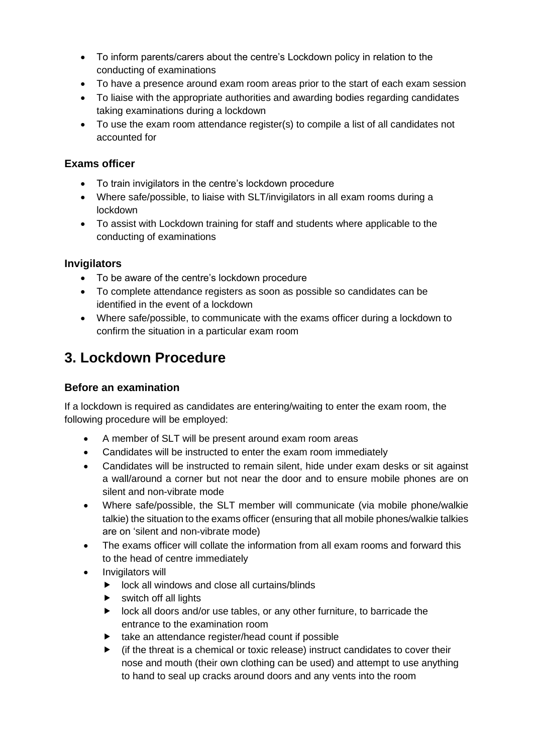- To inform parents/carers about the centre's Lockdown policy in relation to the conducting of examinations
- To have a presence around exam room areas prior to the start of each exam session
- To liaise with the appropriate authorities and awarding bodies regarding candidates taking examinations during a lockdown
- To use the exam room attendance register(s) to compile a list of all candidates not accounted for

#### **Exams officer**

- To train invigilators in the centre's lockdown procedure
- Where safe/possible, to liaise with SLT/invigilators in all exam rooms during a lockdown
- To assist with Lockdown training for staff and students where applicable to the conducting of examinations

#### **Invigilators**

- To be aware of the centre's lockdown procedure
- To complete attendance registers as soon as possible so candidates can be identified in the event of a lockdown
- Where safe/possible, to communicate with the exams officer during a lockdown to confirm the situation in a particular exam room

## <span id="page-3-0"></span>**3. Lockdown Procedure**

#### **Before an examination**

If a lockdown is required as candidates are entering/waiting to enter the exam room, the following procedure will be employed:

- A member of SLT will be present around exam room areas
- Candidates will be instructed to enter the exam room immediately
- Candidates will be instructed to remain silent, hide under exam desks or sit against a wall/around a corner but not near the door and to ensure mobile phones are on silent and non-vibrate mode
- Where safe/possible, the SLT member will communicate (via mobile phone/walkie talkie) the situation to the exams officer (ensuring that all mobile phones/walkie talkies are on 'silent and non-vibrate mode)
- The exams officer will collate the information from all exam rooms and forward this to the head of centre immediately
- Invigilators will
	- $\blacktriangleright$  lock all windows and close all curtains/blinds
	- $\blacktriangleright$  switch off all lights
	- **D** lock all doors and/or use tables, or any other furniture, to barricade the entrance to the examination room
	- $\blacktriangleright$  take an attendance register/head count if possible
	- $\blacktriangleright$  (if the threat is a chemical or toxic release) instruct candidates to cover their nose and mouth (their own clothing can be used) and attempt to use anything to hand to seal up cracks around doors and any vents into the room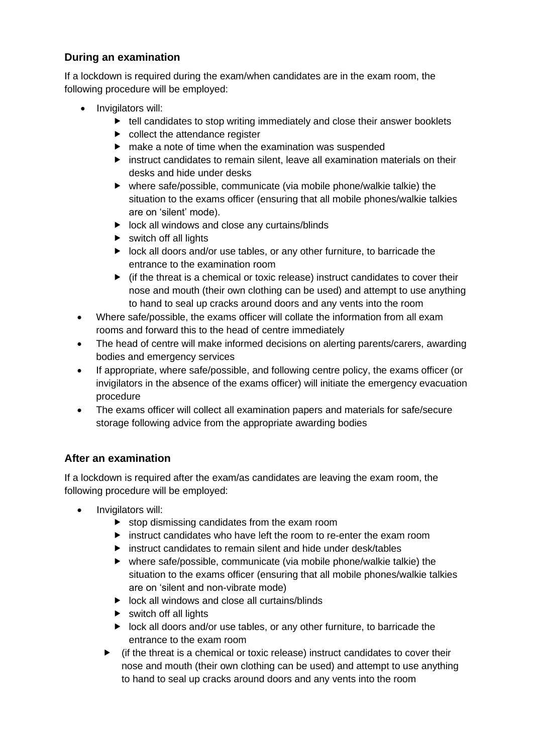### **During an examination**

If a lockdown is required during the exam/when candidates are in the exam room, the following procedure will be employed:

- Invigilators will:
	- $\blacktriangleright$  tell candidates to stop writing immediately and close their answer booklets
	- $\blacktriangleright$  collect the attendance register
	- $\blacktriangleright$  make a note of time when the examination was suspended
	- $\blacktriangleright$  instruct candidates to remain silent, leave all examination materials on their desks and hide under desks
	- where safe/possible, communicate (via mobile phone/walkie talkie) the situation to the exams officer (ensuring that all mobile phones/walkie talkies are on 'silent' mode).
	- $\triangleright$  lock all windows and close any curtains/blinds
	- $\triangleright$  switch off all lights
	- lock all doors and/or use tables, or any other furniture, to barricade the entrance to the examination room
	- $\blacktriangleright$  (if the threat is a chemical or toxic release) instruct candidates to cover their nose and mouth (their own clothing can be used) and attempt to use anything to hand to seal up cracks around doors and any vents into the room
- Where safe/possible, the exams officer will collate the information from all exam rooms and forward this to the head of centre immediately
- The head of centre will make informed decisions on alerting parents/carers, awarding bodies and emergency services
- If appropriate, where safe/possible, and following centre policy, the exams officer (or invigilators in the absence of the exams officer) will initiate the emergency evacuation procedure
- The exams officer will collect all examination papers and materials for safe/secure storage following advice from the appropriate awarding bodies

### **After an examination**

If a lockdown is required after the exam/as candidates are leaving the exam room, the following procedure will be employed:

- Invigilators will:
	- $\blacktriangleright$  stop dismissing candidates from the exam room
	- **E** instruct candidates who have left the room to re-enter the exam room
	- instruct candidates to remain silent and hide under desk/tables
	- where safe/possible, communicate (via mobile phone/walkie talkie) the situation to the exams officer (ensuring that all mobile phones/walkie talkies are on 'silent and non-vibrate mode)
	- $\triangleright$  lock all windows and close all curtains/blinds
	- $\triangleright$  switch off all lights
	- $\blacktriangleright$  lock all doors and/or use tables, or any other furniture, to barricade the entrance to the exam room
	- $\blacktriangleright$  (if the threat is a chemical or toxic release) instruct candidates to cover their nose and mouth (their own clothing can be used) and attempt to use anything to hand to seal up cracks around doors and any vents into the room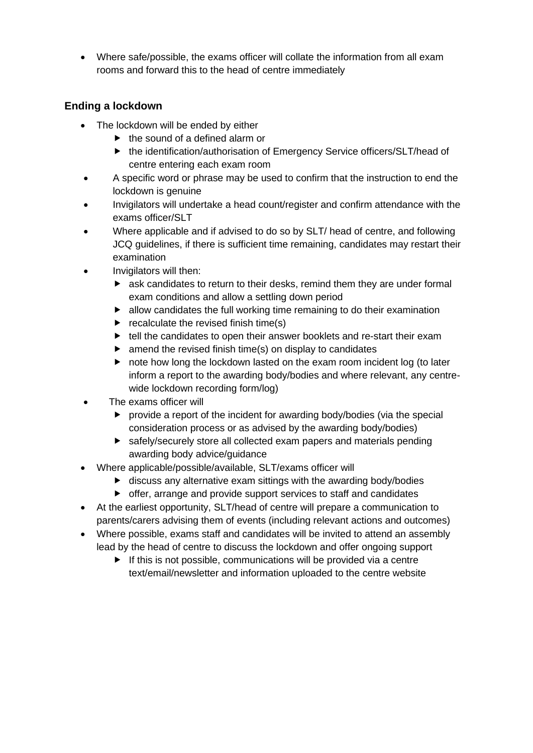• Where safe/possible, the exams officer will collate the information from all exam rooms and forward this to the head of centre immediately

#### **Ending a lockdown**

- The lockdown will be ended by either
	- $\blacktriangleright$  the sound of a defined alarm or
	- ▶ the identification/authorisation of Emergency Service officers/SLT/head of centre entering each exam room
- A specific word or phrase may be used to confirm that the instruction to end the lockdown is genuine
- Invigilators will undertake a head count/register and confirm attendance with the exams officer/SLT
- Where applicable and if advised to do so by SLT/ head of centre, and following JCQ guidelines, if there is sufficient time remaining, candidates may restart their examination
- Invigilators will then:
	- ask candidates to return to their desks, remind them they are under formal exam conditions and allow a settling down period
	- $\blacktriangleright$  allow candidates the full working time remaining to do their examination
	- $\blacktriangleright$  recalculate the revised finish time(s)
	- ▶ tell the candidates to open their answer booklets and re-start their exam
	- $\blacktriangleright$  amend the revised finish time(s) on display to candidates
	- note how long the lockdown lasted on the exam room incident log (to later inform a report to the awarding body/bodies and where relevant, any centrewide lockdown recording form/log)
- The exams officer will
	- provide a report of the incident for awarding body/bodies (via the special consideration process or as advised by the awarding body/bodies)
	- safely/securely store all collected exam papers and materials pending awarding body advice/guidance
- Where applicable/possible/available, SLT/exams officer will
	- $\blacktriangleright$  discuss any alternative exam sittings with the awarding body/bodies
	- offer, arrange and provide support services to staff and candidates
- At the earliest opportunity, SLT/head of centre will prepare a communication to parents/carers advising them of events (including relevant actions and outcomes)
- Where possible, exams staff and candidates will be invited to attend an assembly lead by the head of centre to discuss the lockdown and offer ongoing support
	- $\blacktriangleright$  If this is not possible, communications will be provided via a centre text/email/newsletter and information uploaded to the centre website